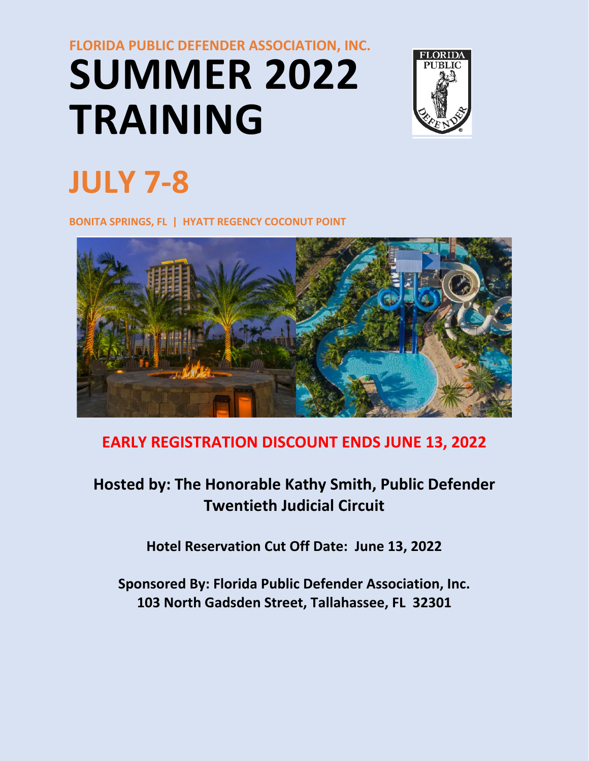# **FLORIDA PUBLIC DEFENDER ASSOCIATION, INC. SUMMER 2022 TRAINING**



# **JULY 7-8**

**BONITA SPRINGS, FL | HYATT REGENCY COCONUT POINT**



# **EARLY REGISTRATION DISCOUNT ENDS JUNE 13, 2022**

# **Hosted by: The Honorable Kathy Smith, Public Defender Twentieth Judicial Circuit**

**Hotel Reservation Cut Off Date: June 13, 2022** 

**Sponsored By: Florida Public Defender Association, Inc. 103 North Gadsden Street, Tallahassee, FL 32301**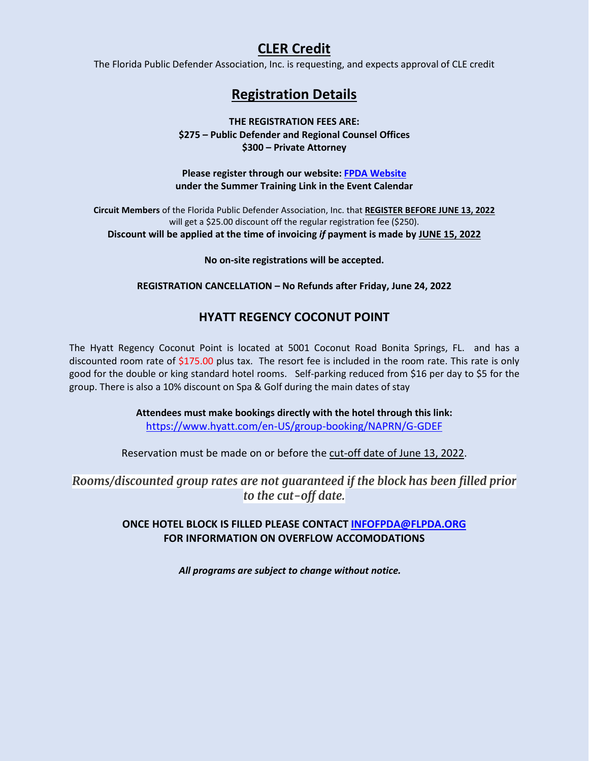# **CLER Credit**

The Florida Public Defender Association, Inc. is requesting, and expects approval of CLE credit

# **Registration Details**

**THE REGISTRATION FEES ARE: \$275 – Public Defender and Regional Counsel Offices \$300 – Private Attorney**

**Please register through our website[: FPDA Website](https://www.flpda.org/home)  under the Summer Training Link in the Event Calendar**

**Circuit Members** of the Florida Public Defender Association, Inc. that **REGISTER BEFORE JUNE 13, 2022**  will get a \$25.00 discount off the regular registration fee (\$250). **Discount will be applied at the time of invoicing** *if* **payment is made by JUNE 15, 2022**

**No on-site registrations will be accepted.** 

**REGISTRATION CANCELLATION – No Refunds after Friday, June 24, 2022** 

## **HYATT REGENCY COCONUT POINT**

The Hyatt Regency Coconut Point is located at 5001 Coconut Road Bonita Springs, FL. and has a discounted room rate of  $$175.00$  plus tax. The resort fee is included in the room rate. This rate is only good for the double or king standard hotel rooms. Self-parking reduced from \$16 per day to \$5 for the group. There is also a 10% discount on Spa & Golf during the main dates of stay

> **Attendees must make bookings directly with the hotel through this link:**  <https://www.hyatt.com/en-US/group-booking/NAPRN/G-GDEF>

Reservation must be made on or before the cut-off date of June 13, 2022.

*Rooms/discounted group rates are not guaranteed if the block has been filled prior to the cut-off date.*

#### **ONCE HOTEL BLOCK IS FILLED PLEASE CONTACT [INFOFPDA@FLPDA.ORG](mailto:INFOFPDA@FLPDA.ORG)  FOR INFORMATION ON OVERFLOW ACCOMODATIONS**

*All programs are subject to change without notice.*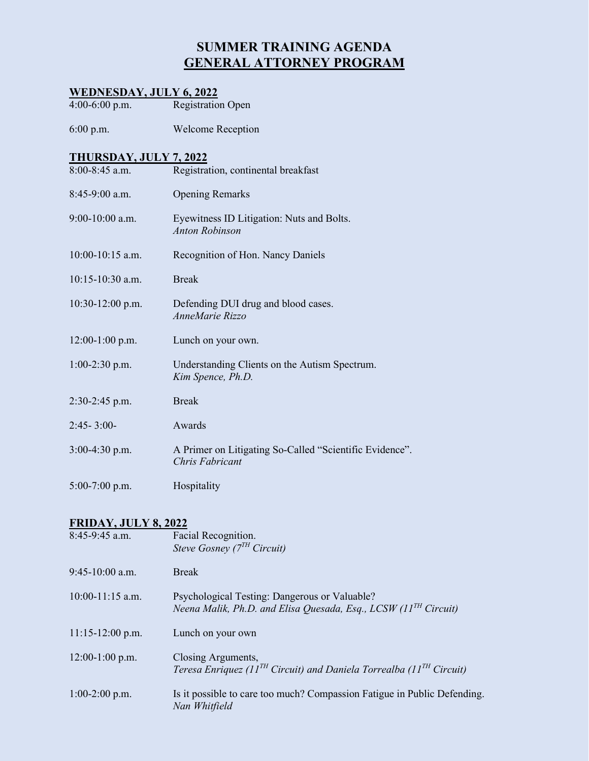# **SUMMER TRAINING AGENDA GENERAL ATTORNEY PROGRAM**

### **WEDNESDAY, JULY 6, 2022**

4:00-6:00 p.m. Registration Open

6:00 p.m. Welcome Reception

#### **THURSDAY, JULY 7, 2022**

| $8:00-8:45$ a.m.   | Registration, continental breakfast                                        |
|--------------------|----------------------------------------------------------------------------|
| $8:45-9:00$ a.m.   | <b>Opening Remarks</b>                                                     |
| $9:00-10:00$ a.m.  | Eyewitness ID Litigation: Nuts and Bolts.<br><b>Anton Robinson</b>         |
| $10:00-10:15$ a.m. | Recognition of Hon. Nancy Daniels                                          |
| $10:15-10:30$ a.m. | <b>Break</b>                                                               |
| $10:30-12:00$ p.m. | Defending DUI drug and blood cases.<br>AnneMarie Rizzo                     |
| $12:00-1:00$ p.m.  | Lunch on your own.                                                         |
| $1:00-2:30$ p.m.   | Understanding Clients on the Autism Spectrum.<br>Kim Spence, Ph.D.         |
| $2:30-2:45$ p.m.   | <b>Break</b>                                                               |
| $2:45 - 3:00 -$    | Awards                                                                     |
| $3:00-4:30$ p.m.   | A Primer on Litigating So-Called "Scientific Evidence".<br>Chris Fabricant |
| $5:00-7:00$ p.m.   | Hospitality                                                                |

#### **FRIDAY, JULY 8, 2022**

| 8:45-9:45 a.m.     | Facial Recognition.<br>Steve Gosney ( $7TH$ Circuit)                                                               |
|--------------------|--------------------------------------------------------------------------------------------------------------------|
| $9:45-10:00$ a.m.  | <b>Break</b>                                                                                                       |
| $10:00-11:15$ a.m. | Psychological Testing: Dangerous or Valuable?<br>Neena Malik, Ph.D. and Elisa Quesada, Esq., LCSW $(11TH$ Circuit) |
| $11:15-12:00$ p.m. | Lunch on your own                                                                                                  |
| $12:00-1:00$ p.m.  | Closing Arguments,<br>Teresa Enriquez (11 <sup>TH</sup> Circuit) and Daniela Torrealba (11 <sup>TH</sup> Circuit)  |
| $1:00-2:00$ p.m.   | Is it possible to care too much? Compassion Fatigue in Public Defending.<br>Nan Whitfield                          |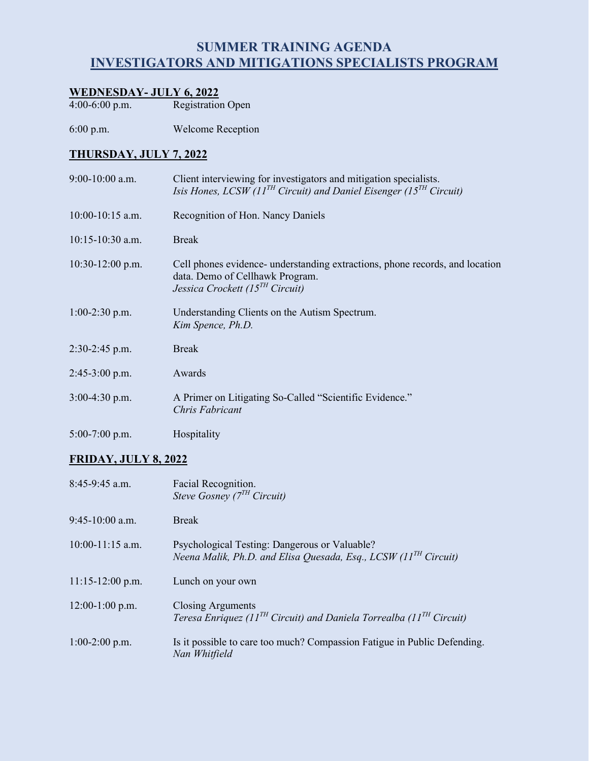# **SUMMER TRAINING AGENDA INVESTIGATORS AND MITIGATIONS SPECIALISTS PROGRAM**

# **WEDNESDAY- JULY 6, 2022**

4:00-6:00 p.m. Registration Open

6:00 p.m. Welcome Reception

### **THURSDAY, JULY 7, 2022**

| $9:00-10:00$ a.m.  | Client interviewing for investigators and mitigation specialists.<br>Isis Hones, LCSW (11 <sup>TH</sup> Circuit) and Daniel Eisenger (15 <sup>TH</sup> Circuit) |
|--------------------|-----------------------------------------------------------------------------------------------------------------------------------------------------------------|
| $10:00-10:15$ a.m. | Recognition of Hon. Nancy Daniels                                                                                                                               |
| $10:15-10:30$ a.m. | <b>Break</b>                                                                                                                                                    |
| $10:30-12:00$ p.m. | Cell phones evidence- understanding extractions, phone records, and location<br>data. Demo of Cellhawk Program.<br>Jessica Crockett (15 $^{TH}$ Circuit)        |
| $1:00-2:30$ p.m.   | Understanding Clients on the Autism Spectrum.<br>Kim Spence, Ph.D.                                                                                              |
| 2:30-2:45 p.m.     | <b>Break</b>                                                                                                                                                    |
| $2:45-3:00$ p.m.   | Awards                                                                                                                                                          |
| $3:00-4:30$ p.m.   | A Primer on Litigating So-Called "Scientific Evidence."<br>Chris Fabricant                                                                                      |
| $5:00-7:00$ p.m.   | Hospitality                                                                                                                                                     |

#### **FRIDAY, JULY 8, 2022**

| $8:45-9:45$ a.m.   | Facial Recognition.<br>Steve Gosney ( $7TH$ Circuit)                                                               |
|--------------------|--------------------------------------------------------------------------------------------------------------------|
| $9:45-10:00$ a.m.  | <b>Break</b>                                                                                                       |
| $10:00-11:15$ a.m. | Psychological Testing: Dangerous or Valuable?<br>Neena Malik, Ph.D. and Elisa Quesada, Esq., LCSW $(11TH$ Circuit) |
| $11:15-12:00$ p.m. | Lunch on your own                                                                                                  |
| $12:00-1:00$ p.m.  | Closing Arguments<br>Teresa Enriquez (11 <sup>TH</sup> Circuit) and Daniela Torrealba (11 <sup>TH</sup> Circuit)   |
| $1:00-2:00$ p.m.   | Is it possible to care too much? Compassion Fatigue in Public Defending.<br>Nan Whitfield                          |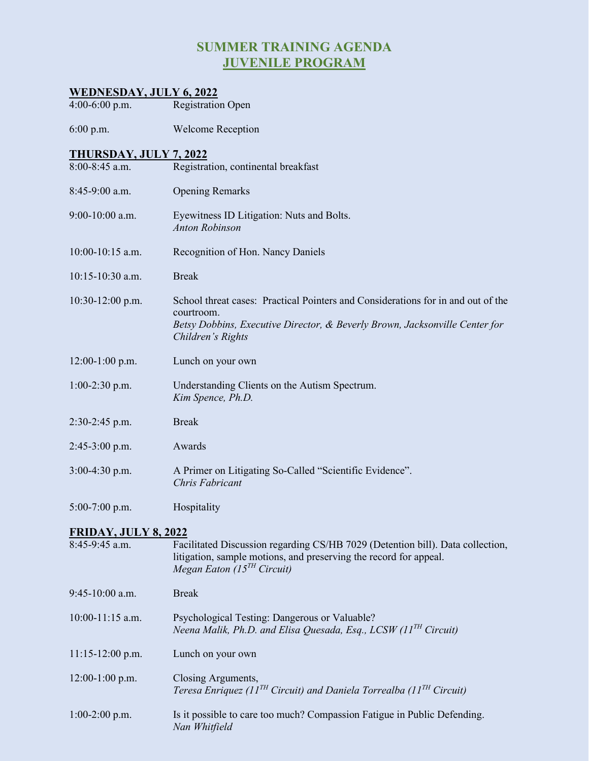# **SUMMER TRAINING AGENDA JUVENILE PROGRAM**

#### **WEDNESDAY, JULY 6, 2022**

4:00-6:00 p.m. Registration Open

6:00 p.m. Welcome Reception

# **THURSDAY, JULY 7, 2022**<br>8:00-8:45 a.m. Registra

- Registration, continental breakfast
- 8:45-9:00 a.m. Opening Remarks
- 9:00-10:00 a.m. Eyewitness ID Litigation: Nuts and Bolts. *Anton Robinson*
- 10:00-10:15 a.m. Recognition of Hon. Nancy Daniels
- 10:15-10:30 a.m. Break
- 10:30-12:00 p.m. School threat cases: Practical Pointers and Considerations for in and out of the courtroom. *Betsy Dobbins, Executive Director, & Beverly Brown, Jacksonville Center for Children's Rights*
- 12:00-1:00 p.m.Lunch on your own
- 1:00-2:30 p.m. Understanding Clients on the Autism Spectrum. *Kim Spence, Ph.D.*
- 2:30-2:45 p.m. Break
- 2:45-3:00 p.m. Awards
- 3:00-4:30 p.m. A Primer on Litigating So-Called "Scientific Evidence". *Chris Fabricant*
- 5:00-7:00 p.m. Hospitality

#### **FRIDAY, JULY 8, 2022**

| 8:45-9:45 a.m.     | Facilitated Discussion regarding CS/HB 7029 (Detention bill). Data collection,<br>litigation, sample motions, and preserving the record for appeal.<br>Megan Eaton $(15^{TH}$ Circuit) |
|--------------------|----------------------------------------------------------------------------------------------------------------------------------------------------------------------------------------|
| $9:45-10:00$ a.m.  | <b>Break</b>                                                                                                                                                                           |
| $10:00-11:15$ a.m. | Psychological Testing: Dangerous or Valuable?<br>Neena Malik, Ph.D. and Elisa Quesada, Esq., LCSW $(11TH$ Circuit)                                                                     |
| $11:15-12:00$ p.m. | Lunch on your own                                                                                                                                                                      |
| $12:00-1:00$ p.m.  | Closing Arguments,<br>Teresa Enriquez (11 <sup>TH</sup> Circuit) and Daniela Torrealba (11 <sup>TH</sup> Circuit)                                                                      |
| $1:00-2:00$ p.m.   | Is it possible to care too much? Compassion Fatigue in Public Defending.<br>Nan Whitfield                                                                                              |